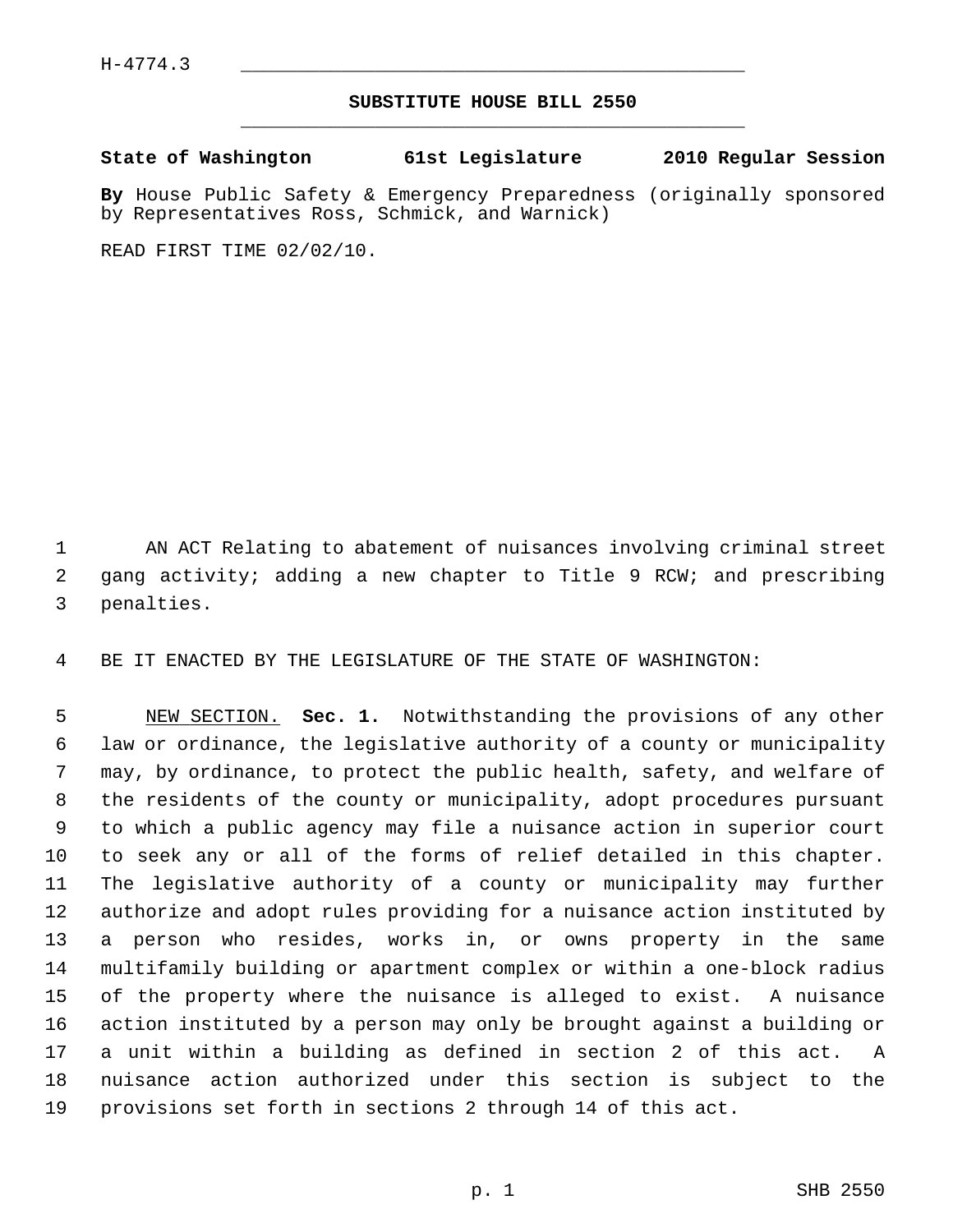## **SUBSTITUTE HOUSE BILL 2550** \_\_\_\_\_\_\_\_\_\_\_\_\_\_\_\_\_\_\_\_\_\_\_\_\_\_\_\_\_\_\_\_\_\_\_\_\_\_\_\_\_\_\_\_\_

**State of Washington 61st Legislature 2010 Regular Session**

**By** House Public Safety & Emergency Preparedness (originally sponsored by Representatives Ross, Schmick, and Warnick)

READ FIRST TIME 02/02/10.

 1 AN ACT Relating to abatement of nuisances involving criminal street 2 gang activity; adding a new chapter to Title 9 RCW; and prescribing 3 penalties.

4 BE IT ENACTED BY THE LEGISLATURE OF THE STATE OF WASHINGTON:

 5 NEW SECTION. **Sec. 1.** Notwithstanding the provisions of any other 6 law or ordinance, the legislative authority of a county or municipality 7 may, by ordinance, to protect the public health, safety, and welfare of 8 the residents of the county or municipality, adopt procedures pursuant 9 to which a public agency may file a nuisance action in superior court 10 to seek any or all of the forms of relief detailed in this chapter. 11 The legislative authority of a county or municipality may further 12 authorize and adopt rules providing for a nuisance action instituted by 13 a person who resides, works in, or owns property in the same 14 multifamily building or apartment complex or within a one-block radius 15 of the property where the nuisance is alleged to exist. A nuisance 16 action instituted by a person may only be brought against a building or 17 a unit within a building as defined in section 2 of this act. A 18 nuisance action authorized under this section is subject to the 19 provisions set forth in sections 2 through 14 of this act.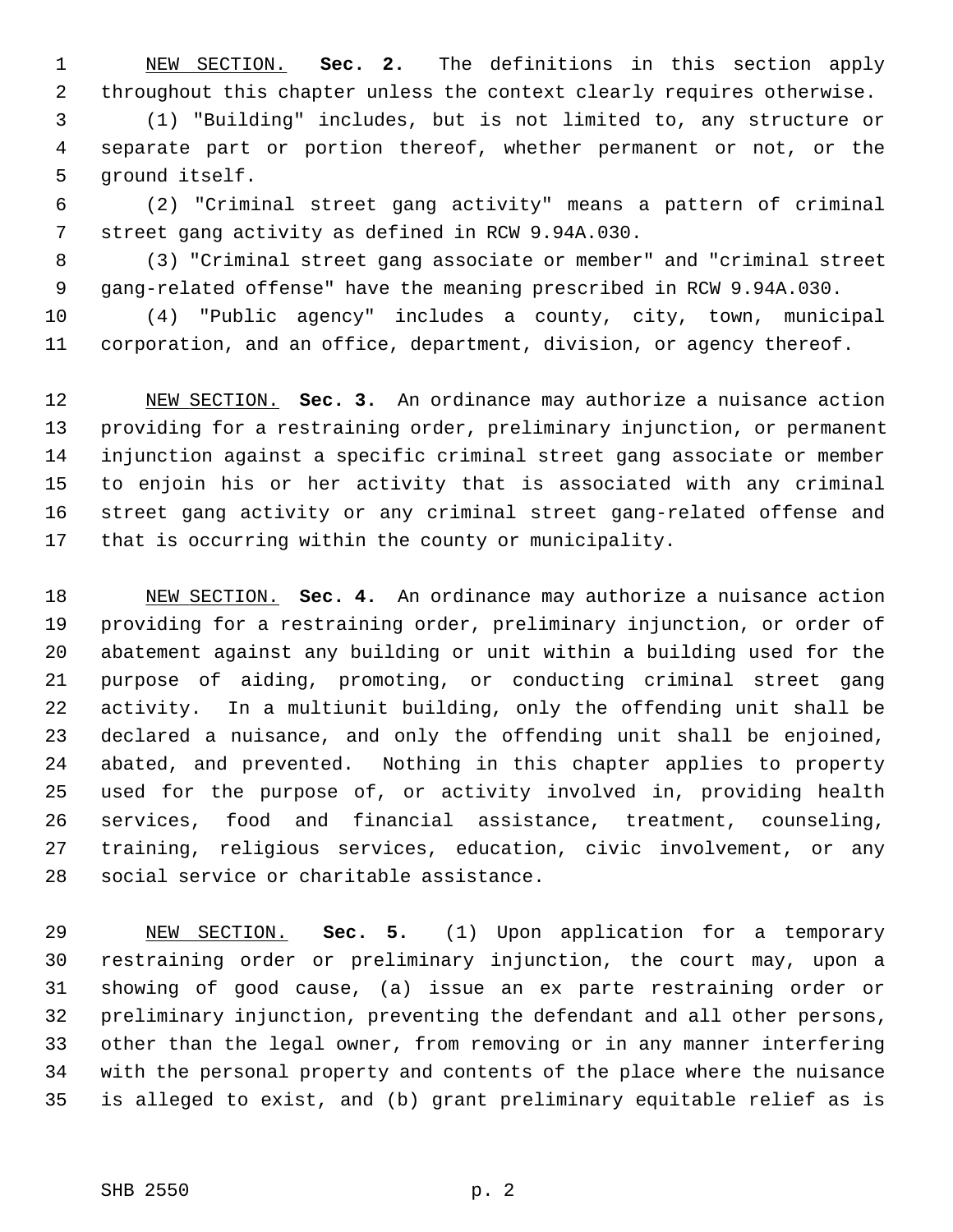1 NEW SECTION. **Sec. 2.** The definitions in this section apply 2 throughout this chapter unless the context clearly requires otherwise.

 3 (1) "Building" includes, but is not limited to, any structure or 4 separate part or portion thereof, whether permanent or not, or the 5 ground itself.

 6 (2) "Criminal street gang activity" means a pattern of criminal 7 street gang activity as defined in RCW 9.94A.030.

 8 (3) "Criminal street gang associate or member" and "criminal street 9 gang-related offense" have the meaning prescribed in RCW 9.94A.030.

10 (4) "Public agency" includes a county, city, town, municipal 11 corporation, and an office, department, division, or agency thereof.

12 NEW SECTION. **Sec. 3.** An ordinance may authorize a nuisance action 13 providing for a restraining order, preliminary injunction, or permanent 14 injunction against a specific criminal street gang associate or member 15 to enjoin his or her activity that is associated with any criminal 16 street gang activity or any criminal street gang-related offense and 17 that is occurring within the county or municipality.

18 NEW SECTION. **Sec. 4.** An ordinance may authorize a nuisance action 19 providing for a restraining order, preliminary injunction, or order of 20 abatement against any building or unit within a building used for the 21 purpose of aiding, promoting, or conducting criminal street gang 22 activity. In a multiunit building, only the offending unit shall be 23 declared a nuisance, and only the offending unit shall be enjoined, 24 abated, and prevented. Nothing in this chapter applies to property 25 used for the purpose of, or activity involved in, providing health 26 services, food and financial assistance, treatment, counseling, 27 training, religious services, education, civic involvement, or any 28 social service or charitable assistance.

29 NEW SECTION. **Sec. 5.** (1) Upon application for a temporary 30 restraining order or preliminary injunction, the court may, upon a 31 showing of good cause, (a) issue an ex parte restraining order or 32 preliminary injunction, preventing the defendant and all other persons, 33 other than the legal owner, from removing or in any manner interfering 34 with the personal property and contents of the place where the nuisance 35 is alleged to exist, and (b) grant preliminary equitable relief as is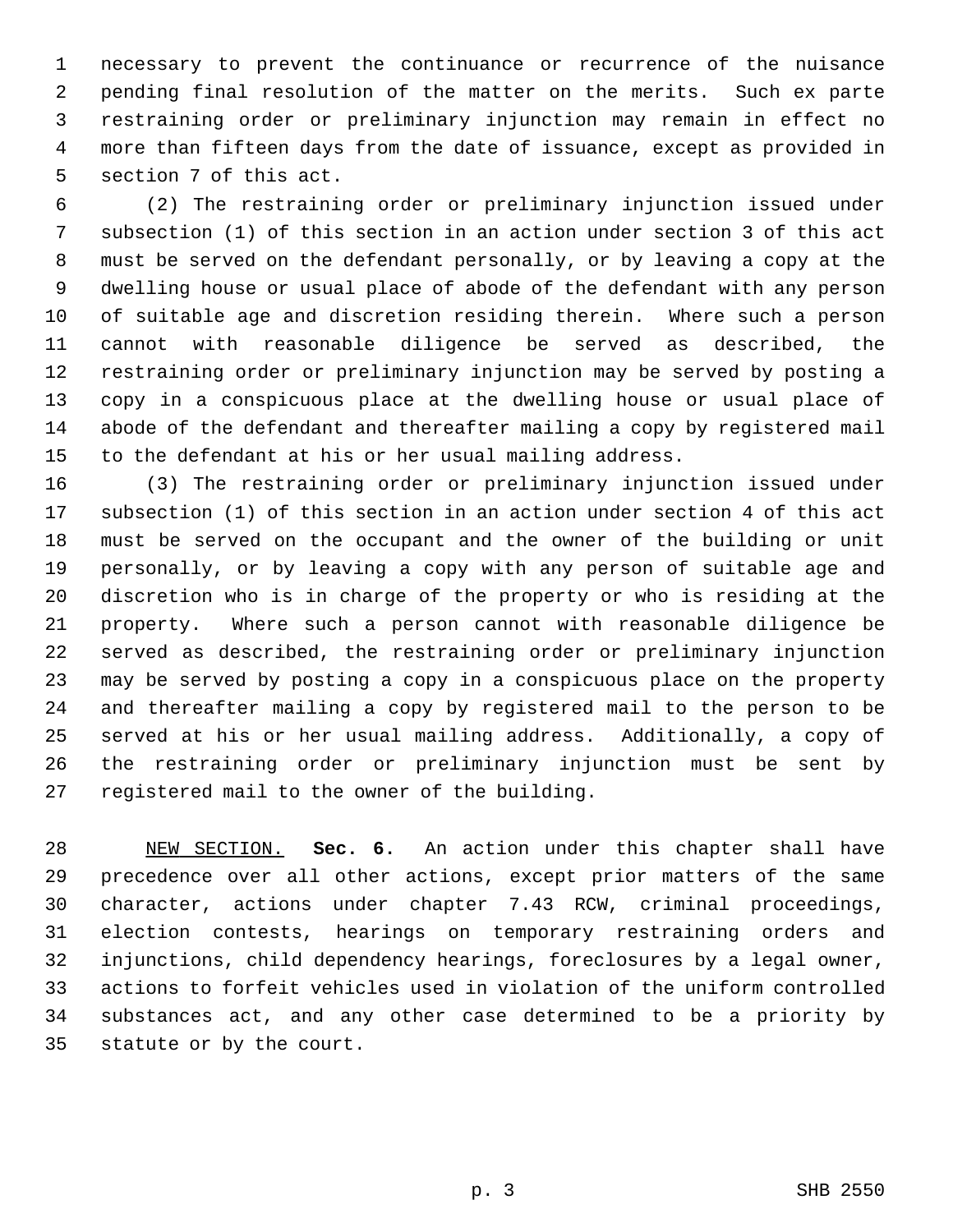1 necessary to prevent the continuance or recurrence of the nuisance 2 pending final resolution of the matter on the merits. Such ex parte 3 restraining order or preliminary injunction may remain in effect no 4 more than fifteen days from the date of issuance, except as provided in 5 section 7 of this act.

 6 (2) The restraining order or preliminary injunction issued under 7 subsection (1) of this section in an action under section 3 of this act 8 must be served on the defendant personally, or by leaving a copy at the 9 dwelling house or usual place of abode of the defendant with any person 10 of suitable age and discretion residing therein. Where such a person 11 cannot with reasonable diligence be served as described, the 12 restraining order or preliminary injunction may be served by posting a 13 copy in a conspicuous place at the dwelling house or usual place of 14 abode of the defendant and thereafter mailing a copy by registered mail 15 to the defendant at his or her usual mailing address.

16 (3) The restraining order or preliminary injunction issued under 17 subsection (1) of this section in an action under section 4 of this act 18 must be served on the occupant and the owner of the building or unit 19 personally, or by leaving a copy with any person of suitable age and 20 discretion who is in charge of the property or who is residing at the 21 property. Where such a person cannot with reasonable diligence be 22 served as described, the restraining order or preliminary injunction 23 may be served by posting a copy in a conspicuous place on the property 24 and thereafter mailing a copy by registered mail to the person to be 25 served at his or her usual mailing address. Additionally, a copy of 26 the restraining order or preliminary injunction must be sent by 27 registered mail to the owner of the building.

28 NEW SECTION. **Sec. 6.** An action under this chapter shall have 29 precedence over all other actions, except prior matters of the same 30 character, actions under chapter 7.43 RCW, criminal proceedings, 31 election contests, hearings on temporary restraining orders and 32 injunctions, child dependency hearings, foreclosures by a legal owner, 33 actions to forfeit vehicles used in violation of the uniform controlled 34 substances act, and any other case determined to be a priority by 35 statute or by the court.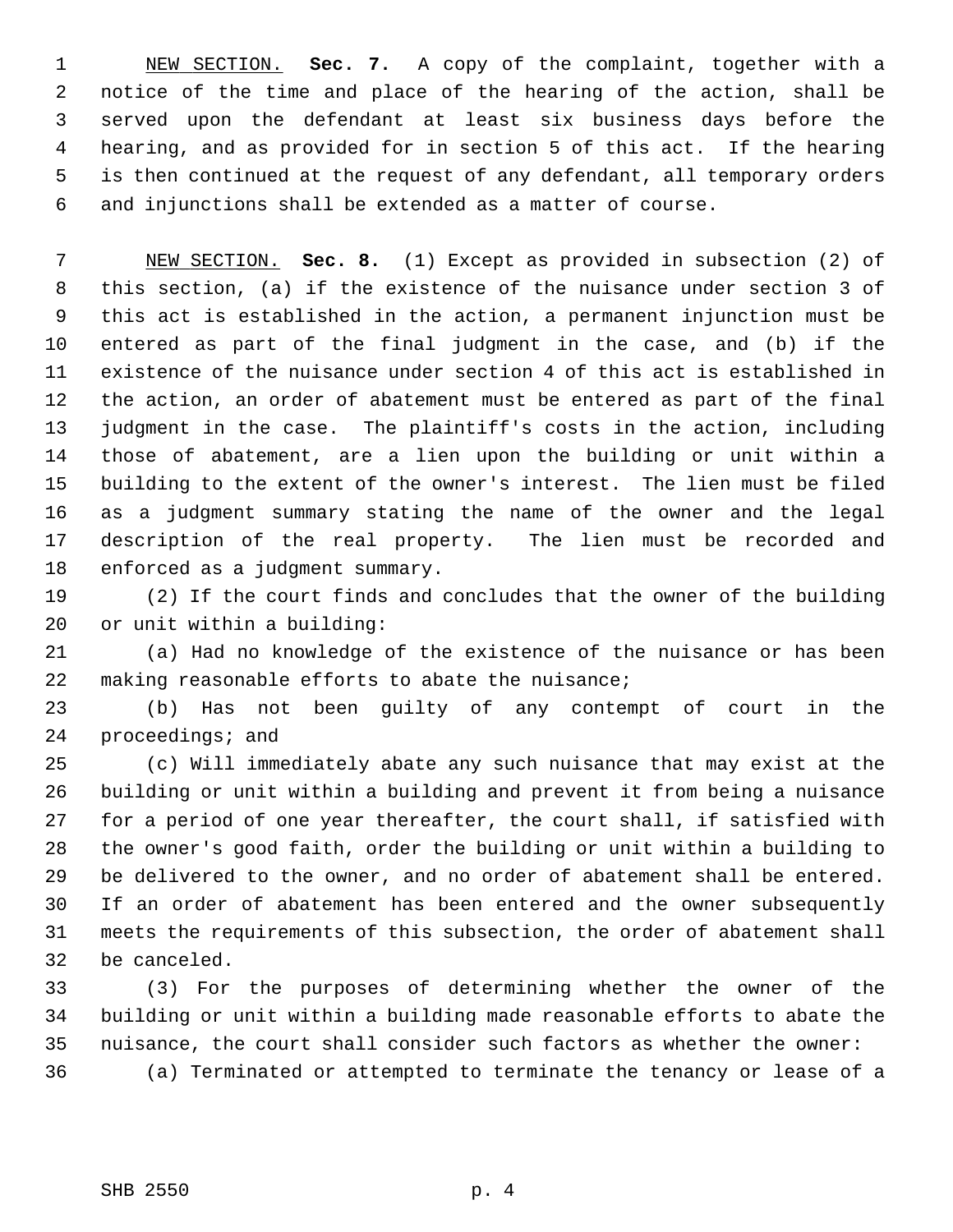1 NEW SECTION. **Sec. 7.** A copy of the complaint, together with a 2 notice of the time and place of the hearing of the action, shall be 3 served upon the defendant at least six business days before the 4 hearing, and as provided for in section 5 of this act. If the hearing 5 is then continued at the request of any defendant, all temporary orders 6 and injunctions shall be extended as a matter of course.

 7 NEW SECTION. **Sec. 8.** (1) Except as provided in subsection (2) of 8 this section, (a) if the existence of the nuisance under section 3 of 9 this act is established in the action, a permanent injunction must be 10 entered as part of the final judgment in the case, and (b) if the 11 existence of the nuisance under section 4 of this act is established in 12 the action, an order of abatement must be entered as part of the final 13 judgment in the case. The plaintiff's costs in the action, including 14 those of abatement, are a lien upon the building or unit within a 15 building to the extent of the owner's interest. The lien must be filed 16 as a judgment summary stating the name of the owner and the legal 17 description of the real property. The lien must be recorded and 18 enforced as a judgment summary.

19 (2) If the court finds and concludes that the owner of the building 20 or unit within a building:

21 (a) Had no knowledge of the existence of the nuisance or has been 22 making reasonable efforts to abate the nuisance;

23 (b) Has not been guilty of any contempt of court in the 24 proceedings; and

25 (c) Will immediately abate any such nuisance that may exist at the 26 building or unit within a building and prevent it from being a nuisance 27 for a period of one year thereafter, the court shall, if satisfied with 28 the owner's good faith, order the building or unit within a building to 29 be delivered to the owner, and no order of abatement shall be entered. 30 If an order of abatement has been entered and the owner subsequently 31 meets the requirements of this subsection, the order of abatement shall 32 be canceled.

33 (3) For the purposes of determining whether the owner of the 34 building or unit within a building made reasonable efforts to abate the 35 nuisance, the court shall consider such factors as whether the owner: 36 (a) Terminated or attempted to terminate the tenancy or lease of a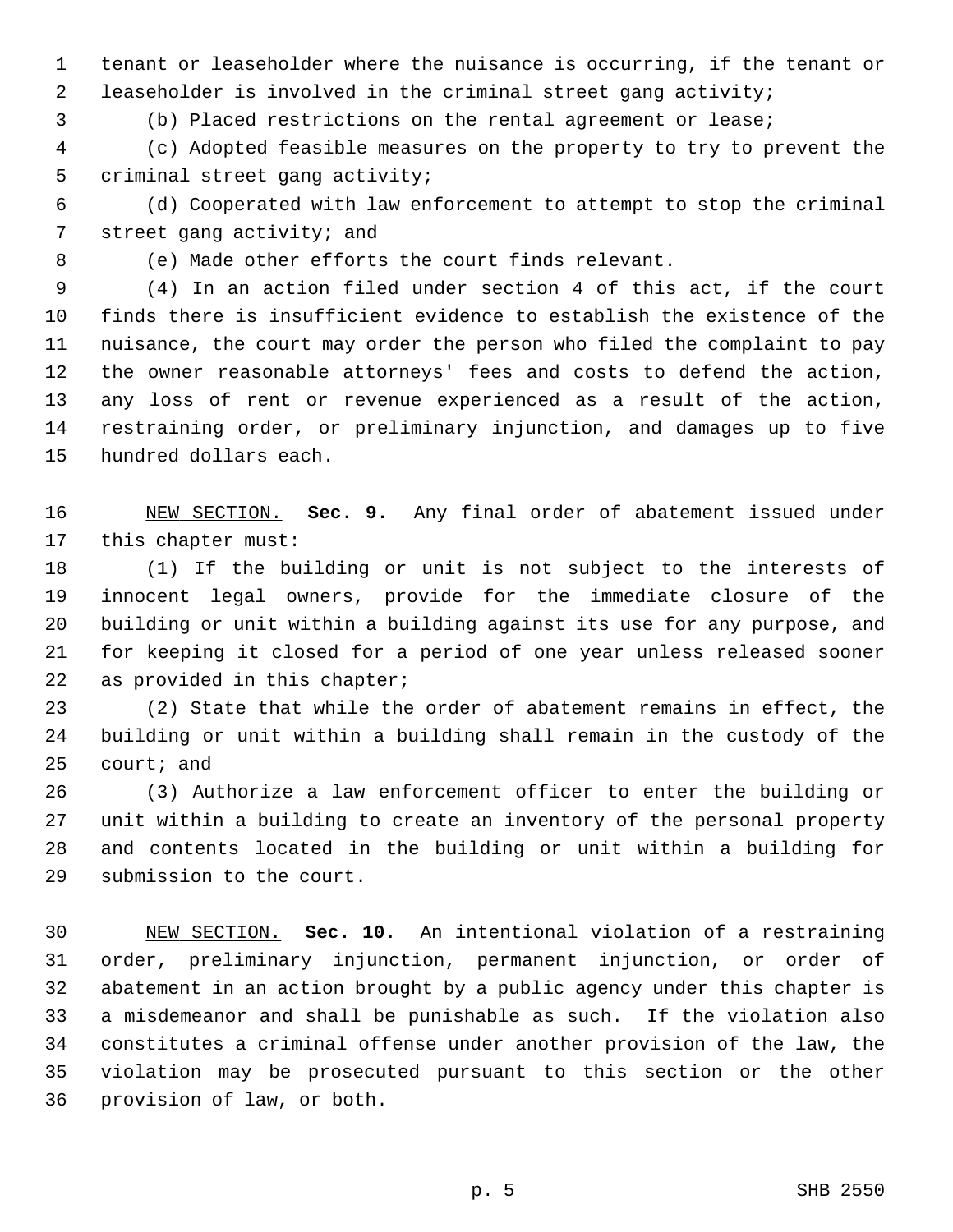1 tenant or leaseholder where the nuisance is occurring, if the tenant or 2 leaseholder is involved in the criminal street gang activity;

3 (b) Placed restrictions on the rental agreement or lease;

 4 (c) Adopted feasible measures on the property to try to prevent the 5 criminal street gang activity;

 6 (d) Cooperated with law enforcement to attempt to stop the criminal 7 street gang activity; and

8 (e) Made other efforts the court finds relevant.

 9 (4) In an action filed under section 4 of this act, if the court 10 finds there is insufficient evidence to establish the existence of the 11 nuisance, the court may order the person who filed the complaint to pay 12 the owner reasonable attorneys' fees and costs to defend the action, 13 any loss of rent or revenue experienced as a result of the action, 14 restraining order, or preliminary injunction, and damages up to five 15 hundred dollars each.

16 NEW SECTION. **Sec. 9.** Any final order of abatement issued under 17 this chapter must:

18 (1) If the building or unit is not subject to the interests of 19 innocent legal owners, provide for the immediate closure of the 20 building or unit within a building against its use for any purpose, and 21 for keeping it closed for a period of one year unless released sooner 22 as provided in this chapter;

23 (2) State that while the order of abatement remains in effect, the 24 building or unit within a building shall remain in the custody of the 25 court; and

26 (3) Authorize a law enforcement officer to enter the building or 27 unit within a building to create an inventory of the personal property 28 and contents located in the building or unit within a building for 29 submission to the court.

30 NEW SECTION. **Sec. 10.** An intentional violation of a restraining 31 order, preliminary injunction, permanent injunction, or order of 32 abatement in an action brought by a public agency under this chapter is 33 a misdemeanor and shall be punishable as such. If the violation also 34 constitutes a criminal offense under another provision of the law, the 35 violation may be prosecuted pursuant to this section or the other 36 provision of law, or both.